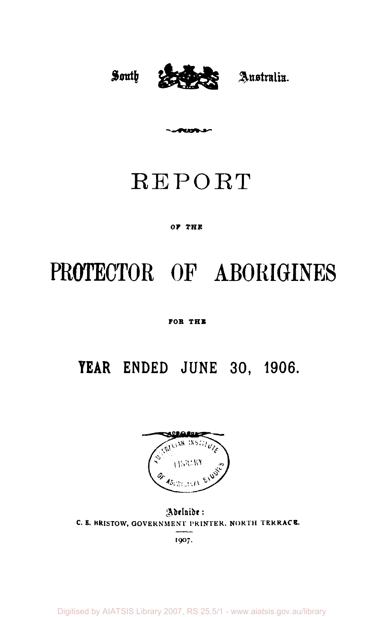

REPORT

anna a

#### **o r THE**

# PROTECTOR OF ABORIGINES

#### **FOR THE**

# **YEAR ENDED JUNE 30 , 1906.**



Adelnide: C. E. BRISTOW, GOVERNMENT PRINTER. NORTH TERRACE.

1907.

Digitised by AIATSIS Library 2007, RS 25.5/1 - www.aiatsis.gov.au/library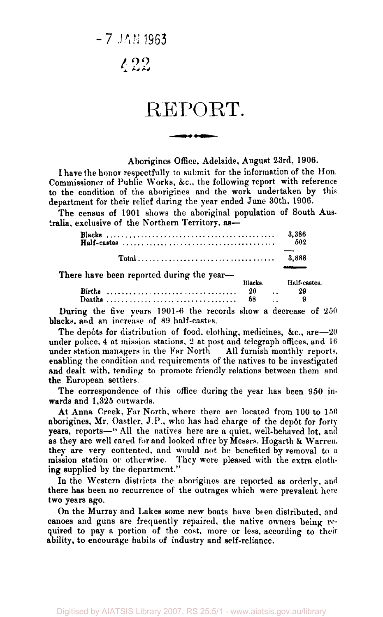7 JAN 1963

 $122$ 

## REPORT.

Aborigines Office, Adelaide, August 23rd, 1906.

I have the honor respectfully to submit for the information of the Hon. Commissioner of Public Works, &c, the following report with reference to the condition of the aborigines and the work undertaken by this department for their relief during the year ended June 30th, 1906.

The census of 1901 shows the aboriginal population of South Australia, exclusive of the Northern Territory, as—

|                                                      | 3.386<br>502 |
|------------------------------------------------------|--------------|
|                                                      | 3.888        |
| There have been reported during the year--<br>Blacks | Half-cast    |

|        | 1118-CRS. |                      | TIMIL-COOLCO. |
|--------|-----------|----------------------|---------------|
| Births | 20        | $\ddot{\phantom{1}}$ | 29            |
|        | 58        | . .                  |               |

During the five years  $1901-6$  the records show a decrease of  $250$ blacks, and an increase of 89 half-castes.

The depôts for distribution of food, elothing, medicines, &c., are  $-20$ der police, 4 at mission stations, 2 at post and telegraph offices, and  $16$ under station managers in the Far North All furnish monthly reports, enabling the condition and requirements of the natives to be investigated and dealt with, tending to promote friendly relations between them and the European settlers.

The correspondence The correspondence of this critical during the year has been 950 in-<br>rds and 1.325 outwards. wards and 1,325 outwards.<br>At Anna Creek, Far North, where there are located from 100 to 150

aborigines, Mr. Oastler, J.P., who has had charge of the depôt for forty years, reports-" All the natives here are a quiet, well-behaved lot, and as they are well cared for and looked after by Messrs. Hogarth & Warren, they are very contented, and would not be benefited by removal to a they are very contented, and would not be benefited by removal to a mission station or otherwise. They were pleased with the extra clothing supplied by the department."

In the Western districts the aborigines are reported as orderly, and there has been no recurrence of the outrages which were prevalent here two years ago.

On the Murray and Lakes some new boats have been distributed, and canoes and guns are frequently repaired, the native owners being required to pay a portion of the cost, more or less, according to their ability, to encourage habits of industry and self-reliance.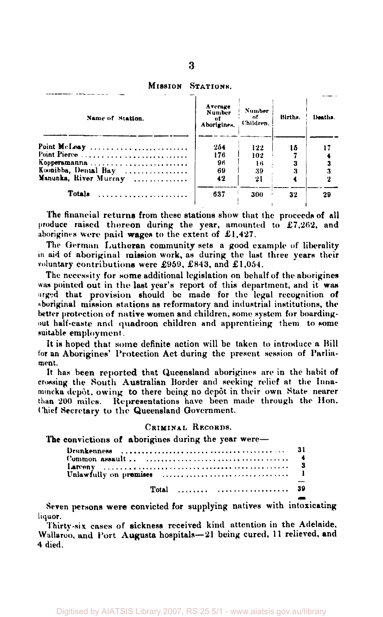| STATIONS. |
|-----------|
|           |

| Name of Station.      | Average<br><b>Number</b><br>of<br>Aborigines. | Number.<br>оf<br>Children. | Births. | Deaths. |
|-----------------------|-----------------------------------------------|----------------------------|---------|---------|
| Point McLeay          | 254                                           | 122                        | 16      |         |
| Point Pierce          | 176                                           | 102                        |         |         |
| Kopperamanna          | 96                                            | 16                         |         |         |
| Koonibba, Denial Bay  | 69                                            | 39                         |         |         |
| Manunka, River Murray | 42                                            | 21                         |         |         |
| <b>Totals</b>         | 637                                           | 300                        | 32      | 29      |
|                       |                                               |                            |         |         |

**The financial returns from these stations show that the proceeds of all produce raised thoreon during the year, amounted to £7,262, and aborigines were paid wages to the extent of £1,427.** 

**The German Lutheran community sets a good example of liberality in aid of aboriginal mission work, as during the last three years their voluntary contributions were £959, £843 , and £1,054.** 

**The necessity for some additional legislation on behalf of the aborigines was pointed out in the last year's report of this department, and it was urged that provision should be made for the legal recognition of Aboriginal mission stations as reformatory and industrial institutions, the better protection of native women and children, some system for boardingout half-caste and quadroon children and apprenticing them to some suitable employment.** 

**It is hoped that some definite action will be taken to introduce a Bill for an Aborigines' Protection Act during the present session of Parliament.** 

**It has been reported that Queensland aborigines are in the habit of crossing the South Australian Border and seeking relief at the Innaimncka depot, owing to there being no depot in their own State nearer than 200 miles. Representations have been made through the Hon. Chief Secretary to the Queensland Government.** 

#### **CRIMINAL RECORDS.**

**The convictions of aborigines during the year were—** 

| Total   39 |  |
|------------|--|

**Seven persons were convicted for supplying natives with intoxicating liquor.** 

**Thirty-six cases of sickness received kind attention in the Adelaide. Wallaroo, and Port Augusta hospitals—21 being cured, 11 relieved, and 4 died.**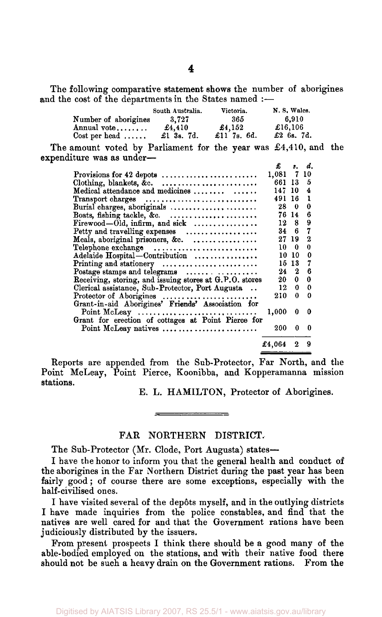The following comparative statement shows the number of aborigines and the cost of the departments in the States named :-

|                                 | South Australia. | Victoria.      | N.S. Wales.   |
|---------------------------------|------------------|----------------|---------------|
| Number of aborigines            | 3.727            | 365            | 6.910         |
| Annual vote                     | £4,410           | $\pmb{.}4.152$ | £16,106       |
| $Cost$ per head $\ldots \ldots$ | £1 3s. 7d.       | £11 7s. $6d$ . | £2 $6s$ , 7d. |

The amount voted by Parliament for the year was £4,410, and the expenditure was as under—

|                                                                        | £.      |       | s. d. |
|------------------------------------------------------------------------|---------|-------|-------|
| Provisions for 42 depots                                               | 1,081 7 |       | 10    |
|                                                                        | 661 13  |       | 5     |
|                                                                        | 147, 10 |       | 4     |
| Transport charges                                                      | 491     | 16    | ı     |
| Burial charges, aboriginals                                            | 28      | 0     | 0     |
| Boats, fishing tackle, &c.                                             |         | 76 14 | 6     |
| $F$ irewood—Old, infirm, and sick $\ldots$                             | 12      | 8     | 9     |
| Petty and travelling expenses                                          | 34      | 6     | 7     |
| Meals, aboriginal prisoners, &c.                                       |         | 27 19 | 2     |
| Telephone exchange                                                     | 10      | 0     | 0     |
| Adelaide Hospital-Contribution                                         | 10      | 10    | 0     |
| Printing and stationery                                                | 15      | 13    | 7     |
| Postage stamps and telegrams                                           | 24      | 2     | 6     |
| Receiving, storing, and issuing stores at G.P.O. stores                | 20-     | 0     | 0     |
| Clerical assistance, Sub-Protector, Port Augusta                       | 12      | 0     | 0     |
| Protector of Aborigines                                                | 210     | 0     | 0     |
| Grant-in-aid Aborigines' Friends' Association for                      |         |       |       |
| Point McLeay $\ldots \ldots \ldots \ldots \ldots \ldots \ldots \ldots$ | 1,000   | 0     | 0     |
| Grant for erection of cottages at Point Pierce for                     |         |       |       |
| Point McLeay natives                                                   | 200     | 0     | n     |
|                                                                        | £4,064  |       | 9     |

Reports are appended from the Sub-Protector, Far North, and the Point McLeay, Point Pierce, Koonibba, and Kopperamanna mission stations.

E. L. HAMILTON, Protector of Aborigines.

#### FAR NORTHERN DISTRICT.

The Sub-Protector (Mr. Clode, Port Augusta) states—

I have the honor to inform you that the general health and conduct of the aborigines in the Far Northern District during the past year has been fairly good; of course there are some exceptions, especially with the half-civilised ones.

I have visited several of the depôts myself, and in the outlying districts I have made inquiries from the police constables, and find that the natives are well cared for and that the Government rations have been judiciously distributed by the issuers.

From present prospects I think there should be a good many of the able-bodied employed on the stations, and with their native food there should not be such a heavy drain on the Government rations. From the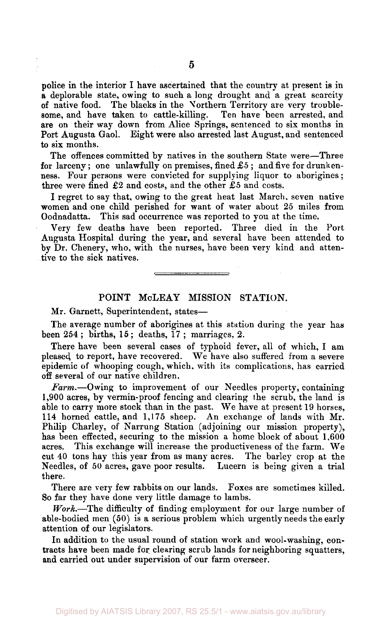police in the interior I have ascertained that the country at present is in a deplorable state, owing to such a long drought and a great scarcity of native food. The blacks in the Northern Territory are very troublesome, and have taken to cattle-killing. Ten have been arrested, and are on their way down from Alice Springs, sentenced to six months in Port Augusta Gaol. Eight were also arrested last August, and sentenced

The offences committed by natives in the southern State were—Three for larceny; one unlawfully on premises, fined  $\pounds 5$ ; and five for drunkenness. Four persons were convicted for supplying liquor to aborigines; three were fined £2 and costs, and the other £5 and costs.

I regret to say that, owing to the great heat last March, seven native women and one child perished for want of water about 25 miles from Oodnadatta. This sad occurrence was reported to you at the time.

Very few deaths have been reported. Three died in the Port Augusta Hospital during the year, and several have been attended to by Dr. Chenery, who, with the nurses, have been very kind and attentive to the sick natives.

#### POINT McLEAY MISSION STATION.

Mr. Garnett, Superintendent, states—

to six months.

The average number of aborigines at this station during the year has been  $254$ ; births,  $15$ ; deaths,  $17$ ; marriages, 2.

There have been several cases of typhoid fever, all of which, I am pleased, to report, have recovered. We have also suffered from a severe epidemic of whooping cough, which, with its complications, has carried off several of our native children.

*Farm.*—Owing to improvement of our Needles property, containing 1,900 acres, by vermin-proof fencing and clearing the scrub, the land is able to carry more stock than in the past. We have at present 19 horses, 114 horned cattle, and 1,175 sheep. An exchange of lands with Mr. Philip Charley, of Narrung Station (adjoining our mission property), has been effected, securing to the mission a home block of about 1,600 acres. This exchange will increase the productiveness of the farm. We cut 40 tons hay this year from as many acres. The barley crop at the Needles, of 50 acres, gave poor results. Lucern is being given a trial there.

There are very few rabbits on our lands. Foxes are sometimes killed. So far they have done very little damage to lambs.

*Work.*—The difficulty of finding employment for our large number of able-bodied men (50) is a serious problem which urgently needs the early attention of our legislators.

In addition to the usual round of station work and wool-washing, contracts have been made for clearing scrub lands for neighboring squatters, and carried out under supervision of our farm overseer.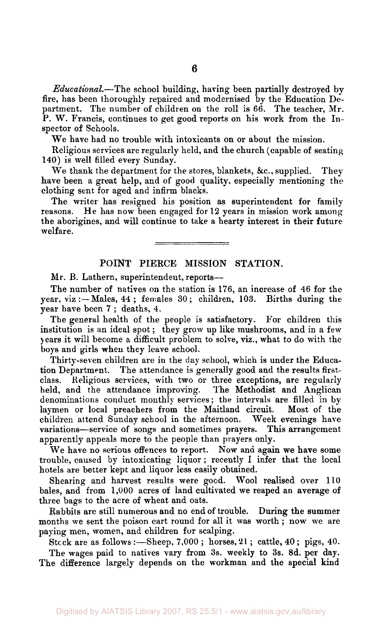*Educational.*—The school building, having been partially destroyed by fire, has been thoroughly repaired and modernised by the Education Department. The number of children on the roll is 66. The teacher, Mr. P. W. Francis, continues to get good reports on his work from the Inspector of Schools.

We have had no trouble with intoxicants on or about the mission.

Religious services are regularly held, and the church (capable of seating 140) is well filled every Sunday.

We thank the department for the stores, blankets, &c., supplied. They have been a great help, and of good quality, especially mentioning the clothing sent for aged and infirm blacks.

The writer has resigned his position as superintendent for family reasons. He has now been engaged for 12 years in mission work among the aborigines, and will continue to take a hearty interest in their future welfare.

#### **POINT PIERCE MISSION STATION.**

Mr. **B.** Lathern, superintendent, reports—

The number of natives on the station is 176, an increase of 46 for the year, viz :—Males, 44 ; females 30; children, 103. Births during the year have been 7 ; deaths, 4.

The general health of the people is satisfactory. For children this institution is an ideal spot; they grow up like mushrooms, and in a few years it will become a difficult problem to solve, viz., what to do with the boys and girls when they leave school.

Thirty-seven children are in the day school, which is under the Education Department. The attendance is generally good and the results firstclass. Religious services, with two or three exceptions, are regularly held, and the attendance improving. The Methodist and Anglican denominations conduct monthly services; the intervals are filled in by laymen or local preachers from the Maitland circuit. Most of the children attend Sunday school in the afternoon. Week evenings have variations—service of songs and sometimes prayers. This arrangement apparently appeals more to the people than prayers only.

We have no serious offences to report. Now and again we have some trouble, caused by intoxicating liquor ; recently I infer that the local hotels are better kept and liquor less easily obtained.

Shearing and harvest results were good. Wool realised over 110 bales, and from 1,000 acres of land cultivated we reaped an average of three bags to the acre of wheat and oats.

Rabbits are still numerous and no end of trouble. During the summer months we sent the poison cart round for all it was worth ; now we are paying men, women, and children for scalping.

Stock are as follows :—Sheep,  $7,000$ ; horses,  $21$ ; cattle,  $40$ ; pigs,  $40$ . The wages paid to natives vary from 3s. weekly to 3s. 8d. per day. The difference largely depends on the workman and the special kind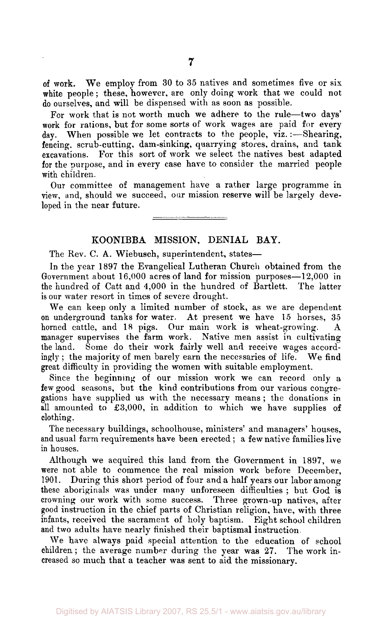For work that is not worth much we adhere to the rule—two days' work for rations, but for some sorts of work wages are paid for every day. When possible we let contracts to the people, viz. :- Shearing, fencing, scrub-cutting, dam-sinking, quarrying stores, drains, and tank excavations. For this sort of work we select the natives best adapted for the purpose, and in every case have to consider the married people with children.

Our committee of management have a rather large programme in view, and, should we succeed, oar mission reserve will be largely developed in the near future.

#### **KOONIBBA MISSION, DENIAL BAY.**

The Rev. C. **A..** Wiebusch, superintendent, states—

In the year 1897 the Evangelical Lutheran Church obtained from the Government about 16,000 acres of land for mission purposes—12,000 in the hundred of Catt and 4,000 in the hundred of Bartlett. The latter is our water resort in times of severe drought.

We can keep only a limited number of stock, as we are dependent on underground tanks for water. At present we have 15 horses, 35 horned cattle, and 18 pigs. Our main work is wheat-growing. A manager supervises the farm work. Native men assist in cultivating the land. Some do their work fairly well and receive wages accordingly ; the majority of men barely earn the necessaries of life. We find great difficulty in providing the women with suitable employment.

Since the beginning of our mission work we can record only a few good seasons, but the kind contributions from our various congregations have supplied us with the necessary means ; the donations in all amounted to £3,000, in addition to which we have supplies of clothing.

The necessary buildings, schoolhouse, ministers' and managers' houses, and usual farm requirements have been erected ; a few native families live in houses.

Although we acquired this land from the Government in 1897, we were not able to commence the real mission work before December, 1901. During this short period of four and a half years our labor among these aboriginals was under many unforeseen difficulties ; but God is crowning our work with some success. Three grown-up natives, after good instruction in the chief parts of Christian religion, have, with three infants, received the sacrament of holy baptism. Eight school children and two adults have nearly finished their baptismal instruction.

We have always paid special attention to the education of school children ; the average number during the year was 27. The work increased so much that a teacher was sent to aid the missionary.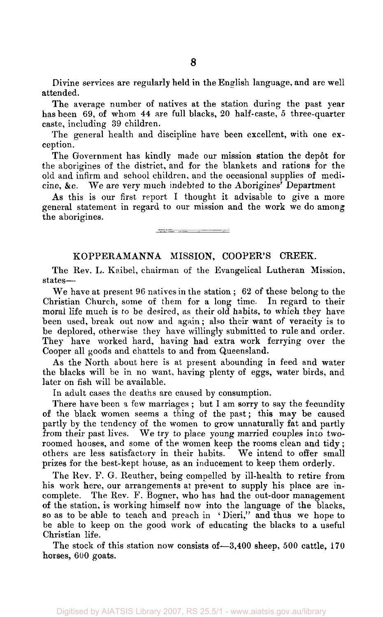Divine services are regularly held in the English language, and are well attended.

The average number of natives at the station during the past year has been 69, of whom 44 are full blacks, 20 half-caste, 5 three-quarter caste, including 39 children.

The general health and discipline have been excellent, with one exception.

The Government has kindly made our mission station the depôt for the aborigines of the district, and for the blankets and rations for the old and infirm and school children, and the occasional supplies of medicine, &c. We are very much indebted to the Aborigines' Department

As this is our first report I thought it advisable to give a more general statement in regard to our mission and the work we do among the aborigines.

<u> Tarihi ya mwaka wa 1989 ya Amanusia ya Tanzania ya Tanzania ya Tanzania ya Tanzania ya Tanzania ya Tanzania ya Tanzania ya Tanzania ya Tanzania ya Tanzania ya Tanzania ya Tanzania ya Tanzania ya Tanzania ya Tanzania ya T</u>

#### KOPPERAMANNA MISSION, COOPER'S CREEK.

The Rev. L. Kaibel, chairman of the Evangelical Lutheran Mission, states—

We have at present 96 natives in the station ; 62 of these belong to the Christian Church, some of them for a long time. In regard to their moral life much is to be desired, as their old habits, to which they have been used, break out now and again; also their want of veracity is to be deplored, otherwise they have willingly submitted to rule and order. They have worked hard, having had extra work ferrying over the Cooper all goods and chattels to and from Queensland.

As the North about here is at present abounding in feed and water the blacks will be in no want, having plenty of eggs, water birds, and later on fish will be available.

In adult cases the deaths are caused by consumption.

There have been a few marriages ; but I am sorry to say the fecundity of the black women seems a thing of the past; this may be caused partly by the tendency of the women to grow unnaturally fat and partly from their past lives. We try to place young married couples into tworoomed houses, and some of the women keep the rooms clean and tidy; others are less satisfactory in their habits. We intend to offer small prizes for the best-kept house, as an inducement to keep them orderly.

The Rev. F. G. Reuther, being compelled by ill-health to retire from his work here, our arrangements at present to supply his place are incomplete. The Rev. F. Bogner, who has had the out-door management of the station, is working himself now into the language of the blacks, so as to be able to teach and preach in ' Dieri," and thus we hope to be able to keep on the good work of educating the blacks to a useful Christian life.

The stock of this station now consists of—3,400 sheep, 500 cattle, 170 horses, 600 goats.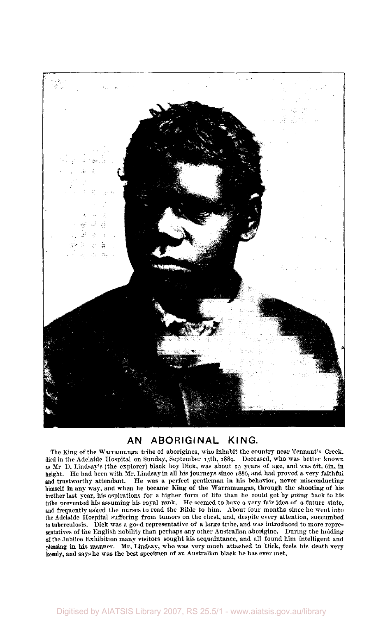

#### AN ABORIGINAL KING.

The King of the Warramunga tribe of aborigines, who inhabit the country near Tennant's Creek, died in the Adelaide Hospital on Sunday, September 15th, 1889. Deceased, who was better known as Mr D. Lindsay's (the explorer) black boy Dick, was about 19 years of age, and was 6ft. 6in. in height. He had been with Mr. Lindsay in all his journeys since 1886, and had proved a very faithful and trustworthy attendant. He was a perfect gentleman in his behavior, never misconducting himself in any way, and when he became King of the Warramungas, through the shooting of his brother last year, his aspirations for a higher form of life than he could get by going back to his tribe prevented his assuming his royal rank. He seemed to have a very fair idea of a future state, and frequently asked the nurses to read the Bible to him. About four months since he went into the Adelaide Hospital suffering from tumors on the chest, and, despite every attention, succumbed to tuberculosis. Dick was a good representative of a large tribe, and was introduced to more representatives of the English nobility than perhaps any other Australian aborigine. During the holding of the Jubilee Exhibition many visitors sought his acquaintance, and all found him intelligent and pleasing in his manner. Mr, Lindsay, who was very much attached to Dick, feels his death very keenly, and says he was the best specimen of an Australian black he has ever met.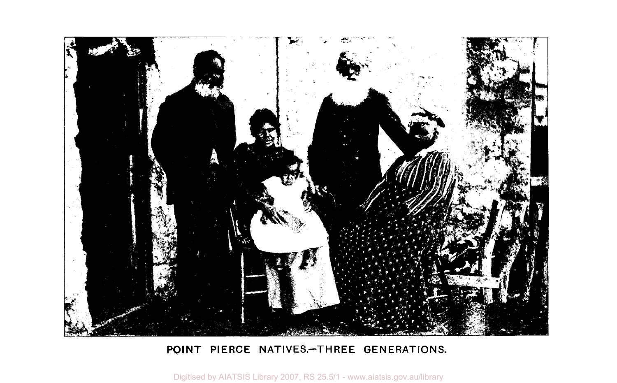

### POINT PIERCE NATIVES-THREE GENERATIONS.

Digitised by AIATSIS Library 2007, RS 25.5/1 - www.aiatsis.gov.au/library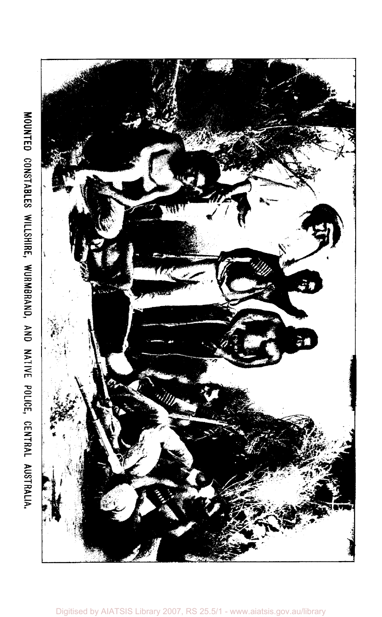![](_page_10_Picture_1.jpeg)